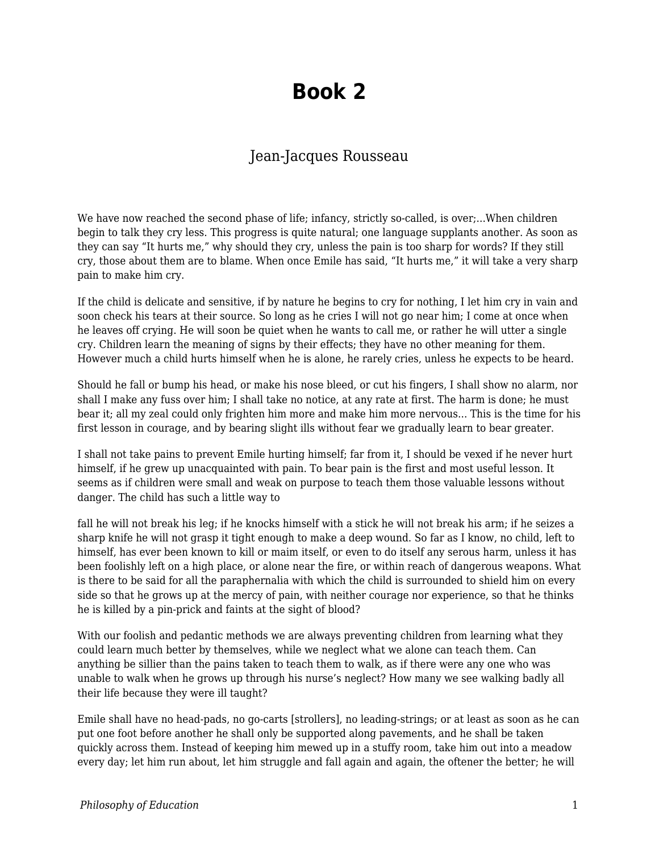## **Book 2**

## Jean-Jacques Rousseau

We have now reached the second phase of life; infancy, strictly so-called, is over,...When children begin to talk they cry less. This progress is quite natural; one language supplants another. As soon as they can say "It hurts me," why should they cry, unless the pain is too sharp for words? If they still cry, those about them are to blame. When once Emile has said, "It hurts me," it will take a very sharp pain to make him cry.

If the child is delicate and sensitive, if by nature he begins to cry for nothing, I let him cry in vain and soon check his tears at their source. So long as he cries I will not go near him; I come at once when he leaves off crying. He will soon be quiet when he wants to call me, or rather he will utter a single cry. Children learn the meaning of signs by their effects; they have no other meaning for them. However much a child hurts himself when he is alone, he rarely cries, unless he expects to be heard.

Should he fall or bump his head, or make his nose bleed, or cut his fingers, I shall show no alarm, nor shall I make any fuss over him; I shall take no notice, at any rate at first. The harm is done; he must bear it; all my zeal could only frighten him more and make him more nervous... This is the time for his first lesson in courage, and by bearing slight ills without fear we gradually learn to bear greater.

I shall not take pains to prevent Emile hurting himself; far from it, I should be vexed if he never hurt himself, if he grew up unacquainted with pain. To bear pain is the first and most useful lesson. It seems as if children were small and weak on purpose to teach them those valuable lessons without danger. The child has such a little way to

fall he will not break his leg; if he knocks himself with a stick he will not break his arm; if he seizes a sharp knife he will not grasp it tight enough to make a deep wound. So far as I know, no child, left to himself, has ever been known to kill or maim itself, or even to do itself any serous harm, unless it has been foolishly left on a high place, or alone near the fire, or within reach of dangerous weapons. What is there to be said for all the paraphernalia with which the child is surrounded to shield him on every side so that he grows up at the mercy of pain, with neither courage nor experience, so that he thinks he is killed by a pin-prick and faints at the sight of blood?

With our foolish and pedantic methods we are always preventing children from learning what they could learn much better by themselves, while we neglect what we alone can teach them. Can anything be sillier than the pains taken to teach them to walk, as if there were any one who was unable to walk when he grows up through his nurse's neglect? How many we see walking badly all their life because they were ill taught?

Emile shall have no head-pads, no go-carts [strollers], no leading-strings; or at least as soon as he can put one foot before another he shall only be supported along pavements, and he shall be taken quickly across them. Instead of keeping him mewed up in a stuffy room, take him out into a meadow every day; let him run about, let him struggle and fall again and again, the oftener the better; he will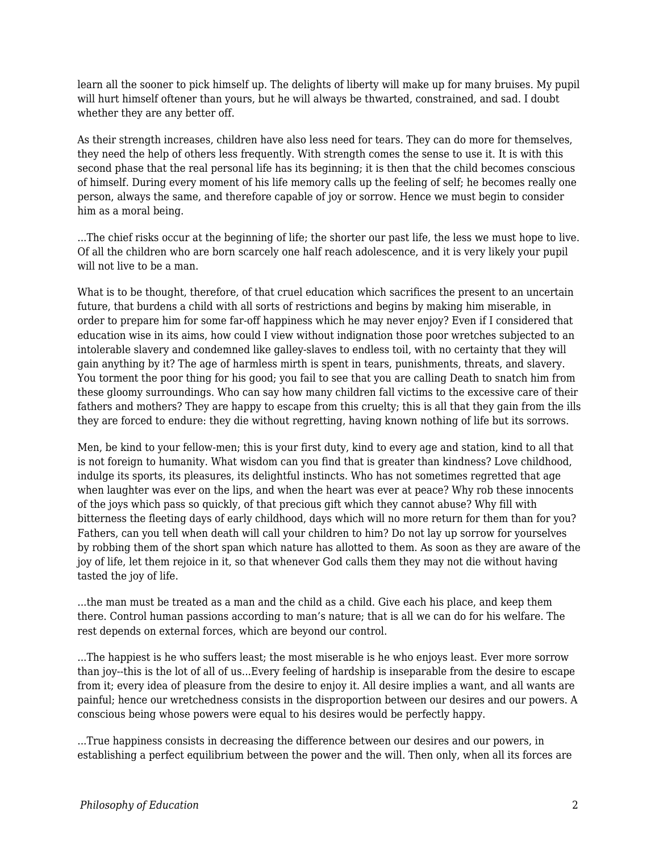learn all the sooner to pick himself up. The delights of liberty will make up for many bruises. My pupil will hurt himself oftener than yours, but he will always be thwarted, constrained, and sad. I doubt whether they are any better off.

As their strength increases, children have also less need for tears. They can do more for themselves, they need the help of others less frequently. With strength comes the sense to use it. It is with this second phase that the real personal life has its beginning; it is then that the child becomes conscious of himself. During every moment of his life memory calls up the feeling of self; he becomes really one person, always the same, and therefore capable of joy or sorrow. Hence we must begin to consider him as a moral being.

...The chief risks occur at the beginning of life; the shorter our past life, the less we must hope to live. Of all the children who are born scarcely one half reach adolescence, and it is very likely your pupil will not live to be a man.

What is to be thought, therefore, of that cruel education which sacrifices the present to an uncertain future, that burdens a child with all sorts of restrictions and begins by making him miserable, in order to prepare him for some far-off happiness which he may never enjoy? Even if I considered that education wise in its aims, how could I view without indignation those poor wretches subjected to an intolerable slavery and condemned like galley-slaves to endless toil, with no certainty that they will gain anything by it? The age of harmless mirth is spent in tears, punishments, threats, and slavery. You torment the poor thing for his good; you fail to see that you are calling Death to snatch him from these gloomy surroundings. Who can say how many children fall victims to the excessive care of their fathers and mothers? They are happy to escape from this cruelty; this is all that they gain from the ills they are forced to endure: they die without regretting, having known nothing of life but its sorrows.

Men, be kind to your fellow-men; this is your first duty, kind to every age and station, kind to all that is not foreign to humanity. What wisdom can you find that is greater than kindness? Love childhood, indulge its sports, its pleasures, its delightful instincts. Who has not sometimes regretted that age when laughter was ever on the lips, and when the heart was ever at peace? Why rob these innocents of the joys which pass so quickly, of that precious gift which they cannot abuse? Why fill with bitterness the fleeting days of early childhood, days which will no more return for them than for you? Fathers, can you tell when death will call your children to him? Do not lay up sorrow for yourselves by robbing them of the short span which nature has allotted to them. As soon as they are aware of the joy of life, let them rejoice in it, so that whenever God calls them they may not die without having tasted the joy of life.

...the man must be treated as a man and the child as a child. Give each his place, and keep them there. Control human passions according to man's nature; that is all we can do for his welfare. The rest depends on external forces, which are beyond our control.

...The happiest is he who suffers least; the most miserable is he who enjoys least. Ever more sorrow than joy--this is the lot of all of us...Every feeling of hardship is inseparable from the desire to escape from it; every idea of pleasure from the desire to enjoy it. All desire implies a want, and all wants are painful; hence our wretchedness consists in the disproportion between our desires and our powers. A conscious being whose powers were equal to his desires would be perfectly happy.

...True happiness consists in decreasing the difference between our desires and our powers, in establishing a perfect equilibrium between the power and the will. Then only, when all its forces are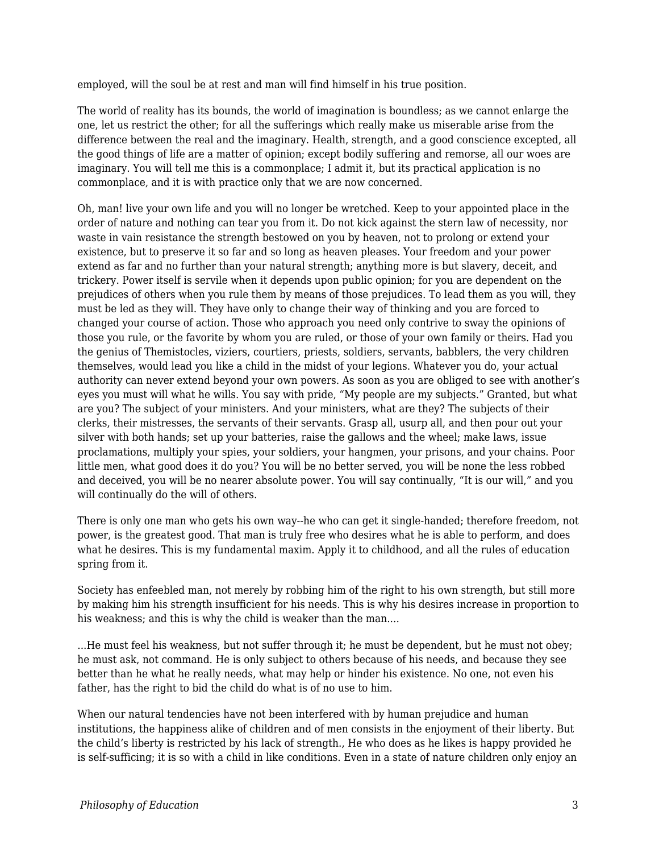employed, will the soul be at rest and man will find himself in his true position.

The world of reality has its bounds, the world of imagination is boundless; as we cannot enlarge the one, let us restrict the other; for all the sufferings which really make us miserable arise from the difference between the real and the imaginary. Health, strength, and a good conscience excepted, all the good things of life are a matter of opinion; except bodily suffering and remorse, all our woes are imaginary. You will tell me this is a commonplace; I admit it, but its practical application is no commonplace, and it is with practice only that we are now concerned.

Oh, man! live your own life and you will no longer be wretched. Keep to your appointed place in the order of nature and nothing can tear you from it. Do not kick against the stern law of necessity, nor waste in vain resistance the strength bestowed on you by heaven, not to prolong or extend your existence, but to preserve it so far and so long as heaven pleases. Your freedom and your power extend as far and no further than your natural strength; anything more is but slavery, deceit, and trickery. Power itself is servile when it depends upon public opinion; for you are dependent on the prejudices of others when you rule them by means of those prejudices. To lead them as you will, they must be led as they will. They have only to change their way of thinking and you are forced to changed your course of action. Those who approach you need only contrive to sway the opinions of those you rule, or the favorite by whom you are ruled, or those of your own family or theirs. Had you the genius of Themistocles, viziers, courtiers, priests, soldiers, servants, babblers, the very children themselves, would lead you like a child in the midst of your legions. Whatever you do, your actual authority can never extend beyond your own powers. As soon as you are obliged to see with another's eyes you must will what he wills. You say with pride, "My people are my subjects." Granted, but what are you? The subject of your ministers. And your ministers, what are they? The subjects of their clerks, their mistresses, the servants of their servants. Grasp all, usurp all, and then pour out your silver with both hands; set up your batteries, raise the gallows and the wheel; make laws, issue proclamations, multiply your spies, your soldiers, your hangmen, your prisons, and your chains. Poor little men, what good does it do you? You will be no better served, you will be none the less robbed and deceived, you will be no nearer absolute power. You will say continually, "It is our will," and you will continually do the will of others.

There is only one man who gets his own way--he who can get it single-handed; therefore freedom, not power, is the greatest good. That man is truly free who desires what he is able to perform, and does what he desires. This is my fundamental maxim. Apply it to childhood, and all the rules of education spring from it.

Society has enfeebled man, not merely by robbing him of the right to his own strength, but still more by making him his strength insufficient for his needs. This is why his desires increase in proportion to his weakness; and this is why the child is weaker than the man....

...He must feel his weakness, but not suffer through it; he must be dependent, but he must not obey; he must ask, not command. He is only subject to others because of his needs, and because they see better than he what he really needs, what may help or hinder his existence. No one, not even his father, has the right to bid the child do what is of no use to him.

When our natural tendencies have not been interfered with by human prejudice and human institutions, the happiness alike of children and of men consists in the enjoyment of their liberty. But the child's liberty is restricted by his lack of strength., He who does as he likes is happy provided he is self-sufficing; it is so with a child in like conditions. Even in a state of nature children only enjoy an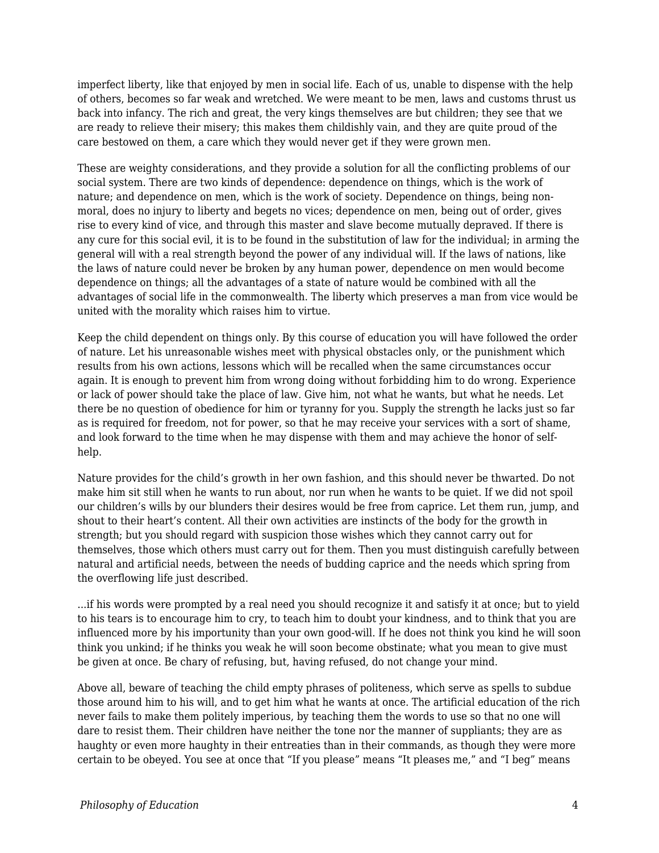imperfect liberty, like that enjoyed by men in social life. Each of us, unable to dispense with the help of others, becomes so far weak and wretched. We were meant to be men, laws and customs thrust us back into infancy. The rich and great, the very kings themselves are but children; they see that we are ready to relieve their misery; this makes them childishly vain, and they are quite proud of the care bestowed on them, a care which they would never get if they were grown men.

These are weighty considerations, and they provide a solution for all the conflicting problems of our social system. There are two kinds of dependence: dependence on things, which is the work of nature; and dependence on men, which is the work of society. Dependence on things, being nonmoral, does no injury to liberty and begets no vices; dependence on men, being out of order, gives rise to every kind of vice, and through this master and slave become mutually depraved. If there is any cure for this social evil, it is to be found in the substitution of law for the individual; in arming the general will with a real strength beyond the power of any individual will. If the laws of nations, like the laws of nature could never be broken by any human power, dependence on men would become dependence on things; all the advantages of a state of nature would be combined with all the advantages of social life in the commonwealth. The liberty which preserves a man from vice would be united with the morality which raises him to virtue.

Keep the child dependent on things only. By this course of education you will have followed the order of nature. Let his unreasonable wishes meet with physical obstacles only, or the punishment which results from his own actions, lessons which will be recalled when the same circumstances occur again. It is enough to prevent him from wrong doing without forbidding him to do wrong. Experience or lack of power should take the place of law. Give him, not what he wants, but what he needs. Let there be no question of obedience for him or tyranny for you. Supply the strength he lacks just so far as is required for freedom, not for power, so that he may receive your services with a sort of shame, and look forward to the time when he may dispense with them and may achieve the honor of selfhelp.

Nature provides for the child's growth in her own fashion, and this should never be thwarted. Do not make him sit still when he wants to run about, nor run when he wants to be quiet. If we did not spoil our children's wills by our blunders their desires would be free from caprice. Let them run, jump, and shout to their heart's content. All their own activities are instincts of the body for the growth in strength; but you should regard with suspicion those wishes which they cannot carry out for themselves, those which others must carry out for them. Then you must distinguish carefully between natural and artificial needs, between the needs of budding caprice and the needs which spring from the overflowing life just described.

...if his words were prompted by a real need you should recognize it and satisfy it at once; but to yield to his tears is to encourage him to cry, to teach him to doubt your kindness, and to think that you are influenced more by his importunity than your own good-will. If he does not think you kind he will soon think you unkind; if he thinks you weak he will soon become obstinate; what you mean to give must be given at once. Be chary of refusing, but, having refused, do not change your mind.

Above all, beware of teaching the child empty phrases of politeness, which serve as spells to subdue those around him to his will, and to get him what he wants at once. The artificial education of the rich never fails to make them politely imperious, by teaching them the words to use so that no one will dare to resist them. Their children have neither the tone nor the manner of suppliants; they are as haughty or even more haughty in their entreaties than in their commands, as though they were more certain to be obeyed. You see at once that "If you please" means "It pleases me," and "I beg" means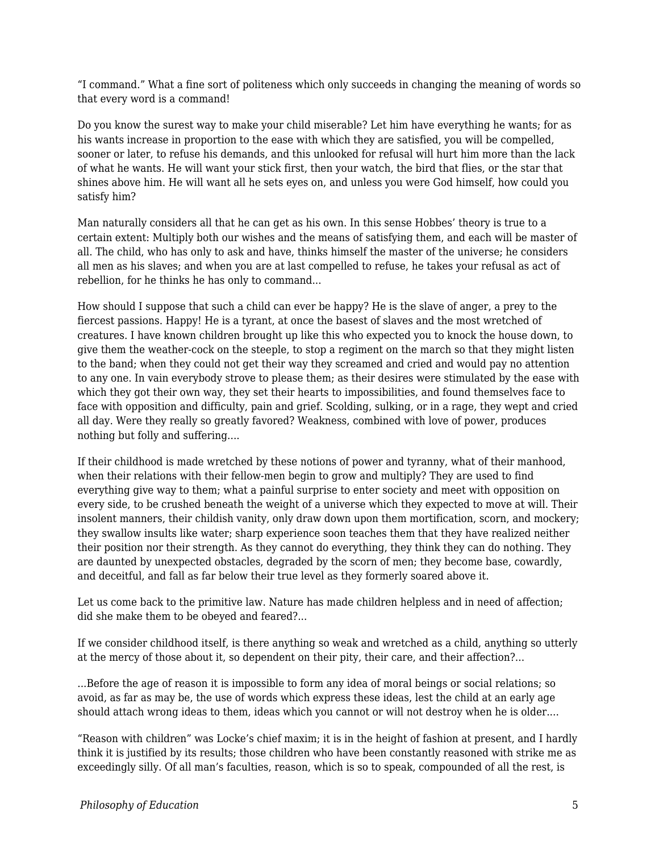"I command." What a fine sort of politeness which only succeeds in changing the meaning of words so that every word is a command!

Do you know the surest way to make your child miserable? Let him have everything he wants; for as his wants increase in proportion to the ease with which they are satisfied, you will be compelled, sooner or later, to refuse his demands, and this unlooked for refusal will hurt him more than the lack of what he wants. He will want your stick first, then your watch, the bird that flies, or the star that shines above him. He will want all he sets eyes on, and unless you were God himself, how could you satisfy him?

Man naturally considers all that he can get as his own. In this sense Hobbes' theory is true to a certain extent: Multiply both our wishes and the means of satisfying them, and each will be master of all. The child, who has only to ask and have, thinks himself the master of the universe; he considers all men as his slaves; and when you are at last compelled to refuse, he takes your refusal as act of rebellion, for he thinks he has only to command...

How should I suppose that such a child can ever be happy? He is the slave of anger, a prey to the fiercest passions. Happy! He is a tyrant, at once the basest of slaves and the most wretched of creatures. I have known children brought up like this who expected you to knock the house down, to give them the weather-cock on the steeple, to stop a regiment on the march so that they might listen to the band; when they could not get their way they screamed and cried and would pay no attention to any one. In vain everybody strove to please them; as their desires were stimulated by the ease with which they got their own way, they set their hearts to impossibilities, and found themselves face to face with opposition and difficulty, pain and grief. Scolding, sulking, or in a rage, they wept and cried all day. Were they really so greatly favored? Weakness, combined with love of power, produces nothing but folly and suffering....

If their childhood is made wretched by these notions of power and tyranny, what of their manhood, when their relations with their fellow-men begin to grow and multiply? They are used to find everything give way to them; what a painful surprise to enter society and meet with opposition on every side, to be crushed beneath the weight of a universe which they expected to move at will. Their insolent manners, their childish vanity, only draw down upon them mortification, scorn, and mockery; they swallow insults like water; sharp experience soon teaches them that they have realized neither their position nor their strength. As they cannot do everything, they think they can do nothing. They are daunted by unexpected obstacles, degraded by the scorn of men; they become base, cowardly, and deceitful, and fall as far below their true level as they formerly soared above it.

Let us come back to the primitive law. Nature has made children helpless and in need of affection; did she make them to be obeyed and feared?...

If we consider childhood itself, is there anything so weak and wretched as a child, anything so utterly at the mercy of those about it, so dependent on their pity, their care, and their affection?...

...Before the age of reason it is impossible to form any idea of moral beings or social relations; so avoid, as far as may be, the use of words which express these ideas, lest the child at an early age should attach wrong ideas to them, ideas which you cannot or will not destroy when he is older....

"Reason with children" was Locke's chief maxim; it is in the height of fashion at present, and I hardly think it is justified by its results; those children who have been constantly reasoned with strike me as exceedingly silly. Of all man's faculties, reason, which is so to speak, compounded of all the rest, is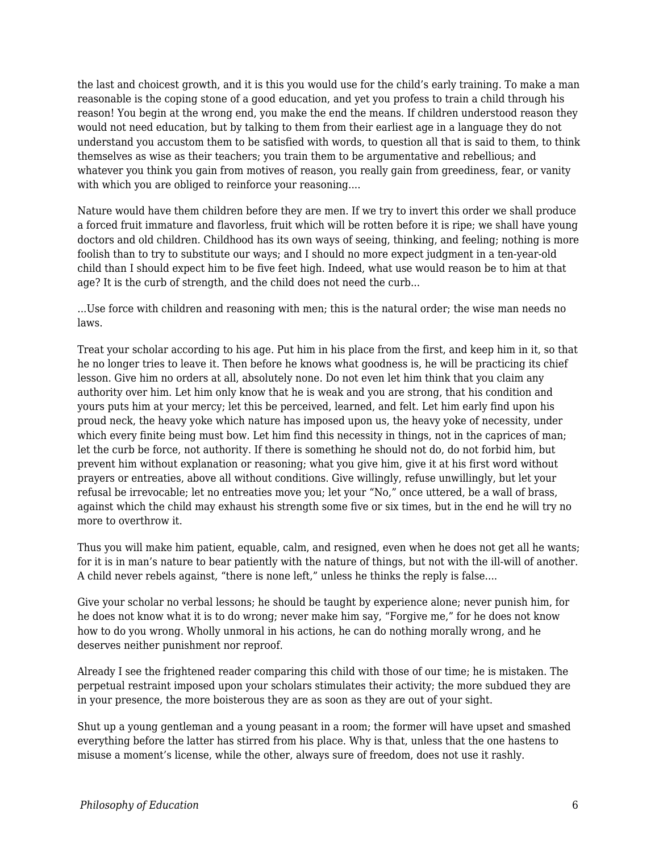the last and choicest growth, and it is this you would use for the child's early training. To make a man reasonable is the coping stone of a good education, and yet you profess to train a child through his reason! You begin at the wrong end, you make the end the means. If children understood reason they would not need education, but by talking to them from their earliest age in a language they do not understand you accustom them to be satisfied with words, to question all that is said to them, to think themselves as wise as their teachers; you train them to be argumentative and rebellious; and whatever you think you gain from motives of reason, you really gain from greediness, fear, or vanity with which you are obliged to reinforce your reasoning....

Nature would have them children before they are men. If we try to invert this order we shall produce a forced fruit immature and flavorless, fruit which will be rotten before it is ripe; we shall have young doctors and old children. Childhood has its own ways of seeing, thinking, and feeling; nothing is more foolish than to try to substitute our ways; and I should no more expect judgment in a ten-year-old child than I should expect him to be five feet high. Indeed, what use would reason be to him at that age? It is the curb of strength, and the child does not need the curb...

...Use force with children and reasoning with men; this is the natural order; the wise man needs no laws.

Treat your scholar according to his age. Put him in his place from the first, and keep him in it, so that he no longer tries to leave it. Then before he knows what goodness is, he will be practicing its chief lesson. Give him no orders at all, absolutely none. Do not even let him think that you claim any authority over him. Let him only know that he is weak and you are strong, that his condition and yours puts him at your mercy; let this be perceived, learned, and felt. Let him early find upon his proud neck, the heavy yoke which nature has imposed upon us, the heavy yoke of necessity, under which every finite being must bow. Let him find this necessity in things, not in the caprices of man; let the curb be force, not authority. If there is something he should not do, do not forbid him, but prevent him without explanation or reasoning; what you give him, give it at his first word without prayers or entreaties, above all without conditions. Give willingly, refuse unwillingly, but let your refusal be irrevocable; let no entreaties move you; let your "No," once uttered, be a wall of brass, against which the child may exhaust his strength some five or six times, but in the end he will try no more to overthrow it.

Thus you will make him patient, equable, calm, and resigned, even when he does not get all he wants; for it is in man's nature to bear patiently with the nature of things, but not with the ill-will of another. A child never rebels against, "there is none left," unless he thinks the reply is false....

Give your scholar no verbal lessons; he should be taught by experience alone; never punish him, for he does not know what it is to do wrong; never make him say, "Forgive me," for he does not know how to do you wrong. Wholly unmoral in his actions, he can do nothing morally wrong, and he deserves neither punishment nor reproof.

Already I see the frightened reader comparing this child with those of our time; he is mistaken. The perpetual restraint imposed upon your scholars stimulates their activity; the more subdued they are in your presence, the more boisterous they are as soon as they are out of your sight.

Shut up a young gentleman and a young peasant in a room; the former will have upset and smashed everything before the latter has stirred from his place. Why is that, unless that the one hastens to misuse a moment's license, while the other, always sure of freedom, does not use it rashly.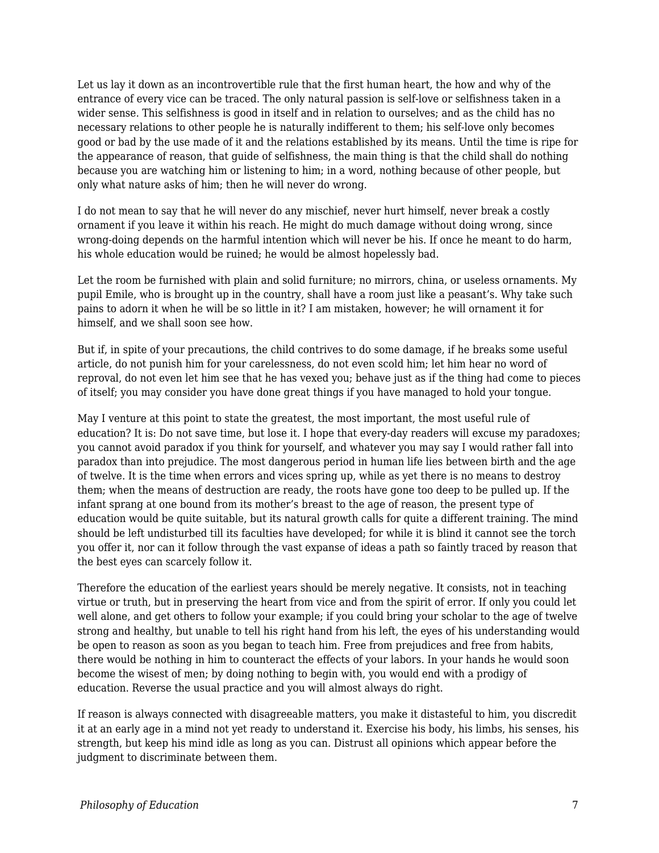Let us lay it down as an incontrovertible rule that the first human heart, the how and why of the entrance of every vice can be traced. The only natural passion is self-love or selfishness taken in a wider sense. This selfishness is good in itself and in relation to ourselves; and as the child has no necessary relations to other people he is naturally indifferent to them; his self-love only becomes good or bad by the use made of it and the relations established by its means. Until the time is ripe for the appearance of reason, that guide of selfishness, the main thing is that the child shall do nothing because you are watching him or listening to him; in a word, nothing because of other people, but only what nature asks of him; then he will never do wrong.

I do not mean to say that he will never do any mischief, never hurt himself, never break a costly ornament if you leave it within his reach. He might do much damage without doing wrong, since wrong-doing depends on the harmful intention which will never be his. If once he meant to do harm, his whole education would be ruined; he would be almost hopelessly bad.

Let the room be furnished with plain and solid furniture; no mirrors, china, or useless ornaments. My pupil Emile, who is brought up in the country, shall have a room just like a peasant's. Why take such pains to adorn it when he will be so little in it? I am mistaken, however; he will ornament it for himself, and we shall soon see how.

But if, in spite of your precautions, the child contrives to do some damage, if he breaks some useful article, do not punish him for your carelessness, do not even scold him; let him hear no word of reproval, do not even let him see that he has vexed you; behave just as if the thing had come to pieces of itself; you may consider you have done great things if you have managed to hold your tongue.

May I venture at this point to state the greatest, the most important, the most useful rule of education? It is: Do not save time, but lose it. I hope that every-day readers will excuse my paradoxes; you cannot avoid paradox if you think for yourself, and whatever you may say I would rather fall into paradox than into prejudice. The most dangerous period in human life lies between birth and the age of twelve. It is the time when errors and vices spring up, while as yet there is no means to destroy them; when the means of destruction are ready, the roots have gone too deep to be pulled up. If the infant sprang at one bound from its mother's breast to the age of reason, the present type of education would be quite suitable, but its natural growth calls for quite a different training. The mind should be left undisturbed till its faculties have developed; for while it is blind it cannot see the torch you offer it, nor can it follow through the vast expanse of ideas a path so faintly traced by reason that the best eyes can scarcely follow it.

Therefore the education of the earliest years should be merely negative. It consists, not in teaching virtue or truth, but in preserving the heart from vice and from the spirit of error. If only you could let well alone, and get others to follow your example; if you could bring your scholar to the age of twelve strong and healthy, but unable to tell his right hand from his left, the eyes of his understanding would be open to reason as soon as you began to teach him. Free from prejudices and free from habits, there would be nothing in him to counteract the effects of your labors. In your hands he would soon become the wisest of men; by doing nothing to begin with, you would end with a prodigy of education. Reverse the usual practice and you will almost always do right.

If reason is always connected with disagreeable matters, you make it distasteful to him, you discredit it at an early age in a mind not yet ready to understand it. Exercise his body, his limbs, his senses, his strength, but keep his mind idle as long as you can. Distrust all opinions which appear before the judgment to discriminate between them.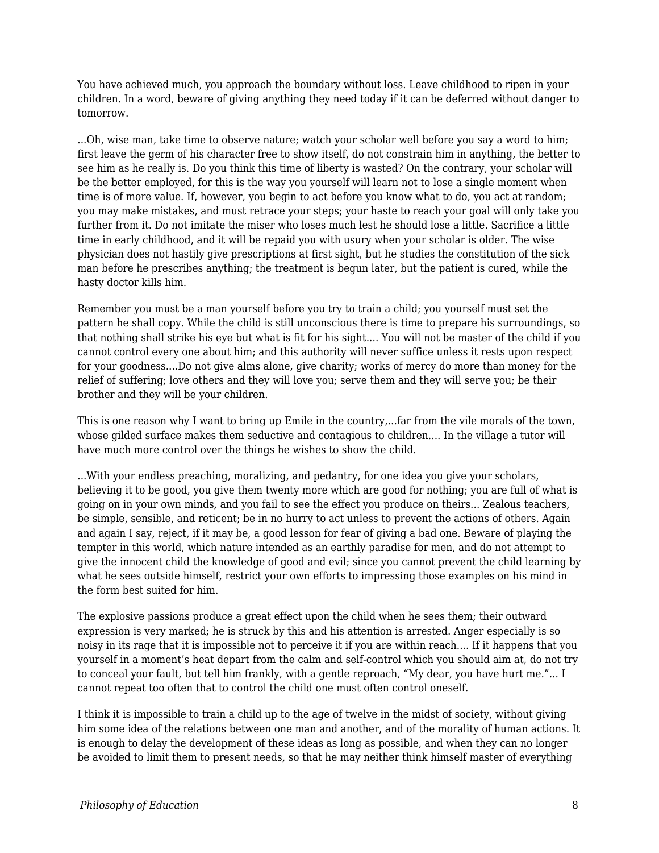You have achieved much, you approach the boundary without loss. Leave childhood to ripen in your children. In a word, beware of giving anything they need today if it can be deferred without danger to tomorrow.

...Oh, wise man, take time to observe nature; watch your scholar well before you say a word to him; first leave the germ of his character free to show itself, do not constrain him in anything, the better to see him as he really is. Do you think this time of liberty is wasted? On the contrary, your scholar will be the better employed, for this is the way you yourself will learn not to lose a single moment when time is of more value. If, however, you begin to act before you know what to do, you act at random; you may make mistakes, and must retrace your steps; your haste to reach your goal will only take you further from it. Do not imitate the miser who loses much lest he should lose a little. Sacrifice a little time in early childhood, and it will be repaid you with usury when your scholar is older. The wise physician does not hastily give prescriptions at first sight, but he studies the constitution of the sick man before he prescribes anything; the treatment is begun later, but the patient is cured, while the hasty doctor kills him.

Remember you must be a man yourself before you try to train a child; you yourself must set the pattern he shall copy. While the child is still unconscious there is time to prepare his surroundings, so that nothing shall strike his eye but what is fit for his sight.... You will not be master of the child if you cannot control every one about him; and this authority will never suffice unless it rests upon respect for your goodness....Do not give alms alone, give charity; works of mercy do more than money for the relief of suffering; love others and they will love you; serve them and they will serve you; be their brother and they will be your children.

This is one reason why I want to bring up Emile in the country,...far from the vile morals of the town, whose gilded surface makes them seductive and contagious to children.... In the village a tutor will have much more control over the things he wishes to show the child.

...With your endless preaching, moralizing, and pedantry, for one idea you give your scholars, believing it to be good, you give them twenty more which are good for nothing; you are full of what is going on in your own minds, and you fail to see the effect you produce on theirs... Zealous teachers, be simple, sensible, and reticent; be in no hurry to act unless to prevent the actions of others. Again and again I say, reject, if it may be, a good lesson for fear of giving a bad one. Beware of playing the tempter in this world, which nature intended as an earthly paradise for men, and do not attempt to give the innocent child the knowledge of good and evil; since you cannot prevent the child learning by what he sees outside himself, restrict your own efforts to impressing those examples on his mind in the form best suited for him.

The explosive passions produce a great effect upon the child when he sees them; their outward expression is very marked; he is struck by this and his attention is arrested. Anger especially is so noisy in its rage that it is impossible not to perceive it if you are within reach.... If it happens that you yourself in a moment's heat depart from the calm and self-control which you should aim at, do not try to conceal your fault, but tell him frankly, with a gentle reproach, "My dear, you have hurt me."... I cannot repeat too often that to control the child one must often control oneself.

I think it is impossible to train a child up to the age of twelve in the midst of society, without giving him some idea of the relations between one man and another, and of the morality of human actions. It is enough to delay the development of these ideas as long as possible, and when they can no longer be avoided to limit them to present needs, so that he may neither think himself master of everything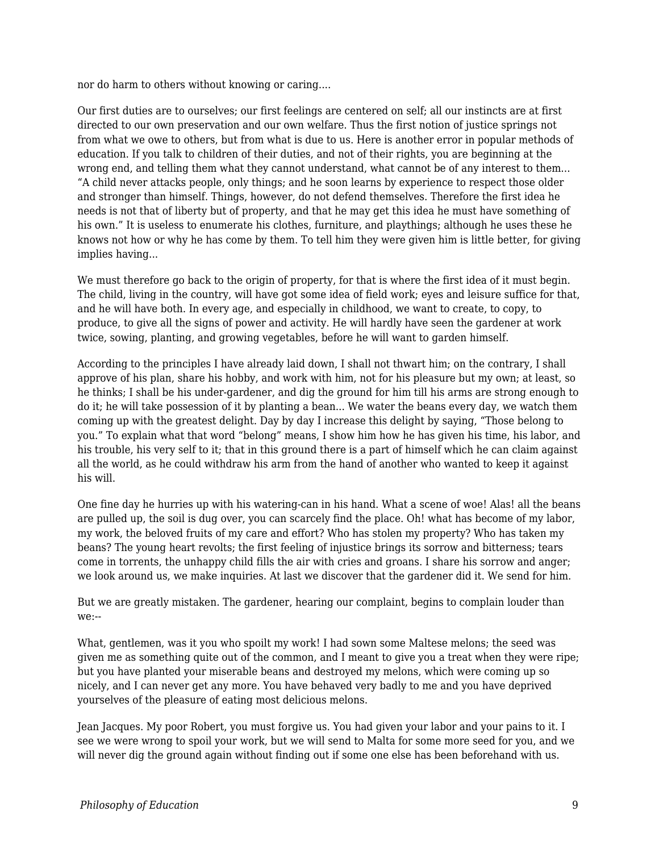nor do harm to others without knowing or caring....

Our first duties are to ourselves; our first feelings are centered on self; all our instincts are at first directed to our own preservation and our own welfare. Thus the first notion of justice springs not from what we owe to others, but from what is due to us. Here is another error in popular methods of education. If you talk to children of their duties, and not of their rights, you are beginning at the wrong end, and telling them what they cannot understand, what cannot be of any interest to them... "A child never attacks people, only things; and he soon learns by experience to respect those older and stronger than himself. Things, however, do not defend themselves. Therefore the first idea he needs is not that of liberty but of property, and that he may get this idea he must have something of his own." It is useless to enumerate his clothes, furniture, and playthings; although he uses these he knows not how or why he has come by them. To tell him they were given him is little better, for giving implies having...

We must therefore go back to the origin of property, for that is where the first idea of it must begin. The child, living in the country, will have got some idea of field work; eyes and leisure suffice for that, and he will have both. In every age, and especially in childhood, we want to create, to copy, to produce, to give all the signs of power and activity. He will hardly have seen the gardener at work twice, sowing, planting, and growing vegetables, before he will want to garden himself.

According to the principles I have already laid down, I shall not thwart him; on the contrary, I shall approve of his plan, share his hobby, and work with him, not for his pleasure but my own; at least, so he thinks; I shall be his under-gardener, and dig the ground for him till his arms are strong enough to do it; he will take possession of it by planting a bean... We water the beans every day, we watch them coming up with the greatest delight. Day by day I increase this delight by saying, "Those belong to you." To explain what that word "belong" means, I show him how he has given his time, his labor, and his trouble, his very self to it; that in this ground there is a part of himself which he can claim against all the world, as he could withdraw his arm from the hand of another who wanted to keep it against his will.

One fine day he hurries up with his watering-can in his hand. What a scene of woe! Alas! all the beans are pulled up, the soil is dug over, you can scarcely find the place. Oh! what has become of my labor, my work, the beloved fruits of my care and effort? Who has stolen my property? Who has taken my beans? The young heart revolts; the first feeling of injustice brings its sorrow and bitterness; tears come in torrents, the unhappy child fills the air with cries and groans. I share his sorrow and anger; we look around us, we make inquiries. At last we discover that the gardener did it. We send for him.

But we are greatly mistaken. The gardener, hearing our complaint, begins to complain louder than we:--

What, gentlemen, was it you who spoilt my work! I had sown some Maltese melons; the seed was given me as something quite out of the common, and I meant to give you a treat when they were ripe; but you have planted your miserable beans and destroyed my melons, which were coming up so nicely, and I can never get any more. You have behaved very badly to me and you have deprived yourselves of the pleasure of eating most delicious melons.

Jean Jacques. My poor Robert, you must forgive us. You had given your labor and your pains to it. I see we were wrong to spoil your work, but we will send to Malta for some more seed for you, and we will never dig the ground again without finding out if some one else has been beforehand with us.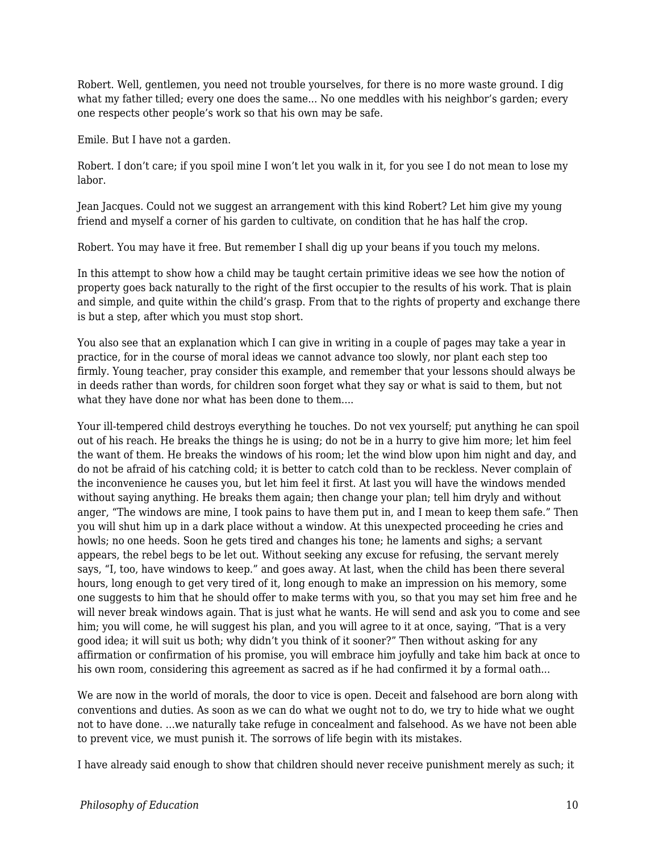Robert. Well, gentlemen, you need not trouble yourselves, for there is no more waste ground. I dig what my father tilled; every one does the same... No one meddles with his neighbor's garden; every one respects other people's work so that his own may be safe.

Emile. But I have not a garden.

Robert. I don't care; if you spoil mine I won't let you walk in it, for you see I do not mean to lose my labor.

Jean Jacques. Could not we suggest an arrangement with this kind Robert? Let him give my young friend and myself a corner of his garden to cultivate, on condition that he has half the crop.

Robert. You may have it free. But remember I shall dig up your beans if you touch my melons.

In this attempt to show how a child may be taught certain primitive ideas we see how the notion of property goes back naturally to the right of the first occupier to the results of his work. That is plain and simple, and quite within the child's grasp. From that to the rights of property and exchange there is but a step, after which you must stop short.

You also see that an explanation which I can give in writing in a couple of pages may take a year in practice, for in the course of moral ideas we cannot advance too slowly, nor plant each step too firmly. Young teacher, pray consider this example, and remember that your lessons should always be in deeds rather than words, for children soon forget what they say or what is said to them, but not what they have done nor what has been done to them....

Your ill-tempered child destroys everything he touches. Do not vex yourself; put anything he can spoil out of his reach. He breaks the things he is using; do not be in a hurry to give him more; let him feel the want of them. He breaks the windows of his room; let the wind blow upon him night and day, and do not be afraid of his catching cold; it is better to catch cold than to be reckless. Never complain of the inconvenience he causes you, but let him feel it first. At last you will have the windows mended without saying anything. He breaks them again; then change your plan; tell him dryly and without anger, "The windows are mine, I took pains to have them put in, and I mean to keep them safe." Then you will shut him up in a dark place without a window. At this unexpected proceeding he cries and howls; no one heeds. Soon he gets tired and changes his tone; he laments and sighs; a servant appears, the rebel begs to be let out. Without seeking any excuse for refusing, the servant merely says, "I, too, have windows to keep." and goes away. At last, when the child has been there several hours, long enough to get very tired of it, long enough to make an impression on his memory, some one suggests to him that he should offer to make terms with you, so that you may set him free and he will never break windows again. That is just what he wants. He will send and ask you to come and see him; you will come, he will suggest his plan, and you will agree to it at once, saying, "That is a very good idea; it will suit us both; why didn't you think of it sooner?" Then without asking for any affirmation or confirmation of his promise, you will embrace him joyfully and take him back at once to his own room, considering this agreement as sacred as if he had confirmed it by a formal oath...

We are now in the world of morals, the door to vice is open. Deceit and falsehood are born along with conventions and duties. As soon as we can do what we ought not to do, we try to hide what we ought not to have done. ...we naturally take refuge in concealment and falsehood. As we have not been able to prevent vice, we must punish it. The sorrows of life begin with its mistakes.

I have already said enough to show that children should never receive punishment merely as such; it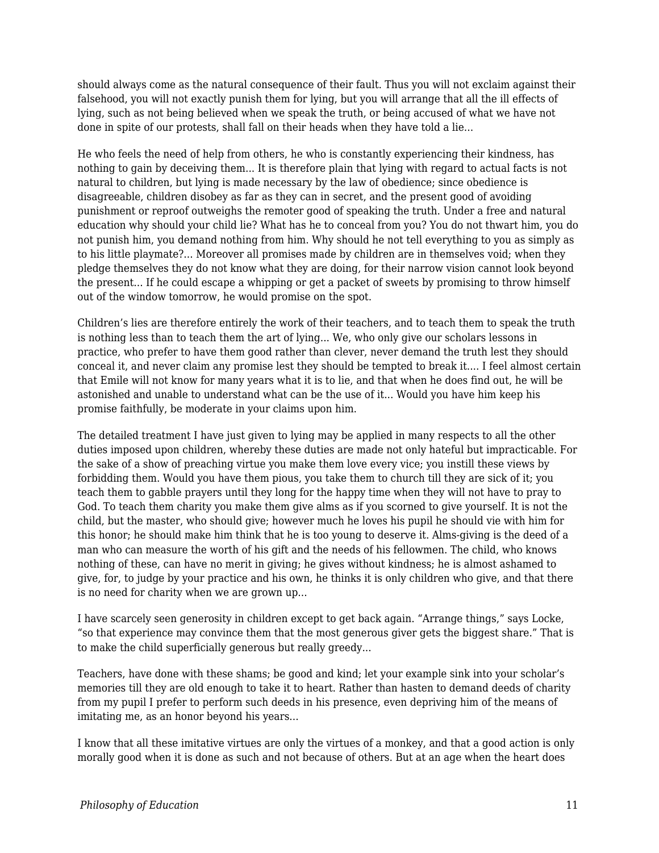should always come as the natural consequence of their fault. Thus you will not exclaim against their falsehood, you will not exactly punish them for lying, but you will arrange that all the ill effects of lying, such as not being believed when we speak the truth, or being accused of what we have not done in spite of our protests, shall fall on their heads when they have told a lie...

He who feels the need of help from others, he who is constantly experiencing their kindness, has nothing to gain by deceiving them... It is therefore plain that lying with regard to actual facts is not natural to children, but lying is made necessary by the law of obedience; since obedience is disagreeable, children disobey as far as they can in secret, and the present good of avoiding punishment or reproof outweighs the remoter good of speaking the truth. Under a free and natural education why should your child lie? What has he to conceal from you? You do not thwart him, you do not punish him, you demand nothing from him. Why should he not tell everything to you as simply as to his little playmate?... Moreover all promises made by children are in themselves void; when they pledge themselves they do not know what they are doing, for their narrow vision cannot look beyond the present... If he could escape a whipping or get a packet of sweets by promising to throw himself out of the window tomorrow, he would promise on the spot.

Children's lies are therefore entirely the work of their teachers, and to teach them to speak the truth is nothing less than to teach them the art of lying... We, who only give our scholars lessons in practice, who prefer to have them good rather than clever, never demand the truth lest they should conceal it, and never claim any promise lest they should be tempted to break it.... I feel almost certain that Emile will not know for many years what it is to lie, and that when he does find out, he will be astonished and unable to understand what can be the use of it... Would you have him keep his promise faithfully, be moderate in your claims upon him.

The detailed treatment I have just given to lying may be applied in many respects to all the other duties imposed upon children, whereby these duties are made not only hateful but impracticable. For the sake of a show of preaching virtue you make them love every vice; you instill these views by forbidding them. Would you have them pious, you take them to church till they are sick of it; you teach them to gabble prayers until they long for the happy time when they will not have to pray to God. To teach them charity you make them give alms as if you scorned to give yourself. It is not the child, but the master, who should give; however much he loves his pupil he should vie with him for this honor; he should make him think that he is too young to deserve it. Alms-giving is the deed of a man who can measure the worth of his gift and the needs of his fellowmen. The child, who knows nothing of these, can have no merit in giving; he gives without kindness; he is almost ashamed to give, for, to judge by your practice and his own, he thinks it is only children who give, and that there is no need for charity when we are grown up...

I have scarcely seen generosity in children except to get back again. "Arrange things," says Locke, "so that experience may convince them that the most generous giver gets the biggest share." That is to make the child superficially generous but really greedy...

Teachers, have done with these shams; be good and kind; let your example sink into your scholar's memories till they are old enough to take it to heart. Rather than hasten to demand deeds of charity from my pupil I prefer to perform such deeds in his presence, even depriving him of the means of imitating me, as an honor beyond his years...

I know that all these imitative virtues are only the virtues of a monkey, and that a good action is only morally good when it is done as such and not because of others. But at an age when the heart does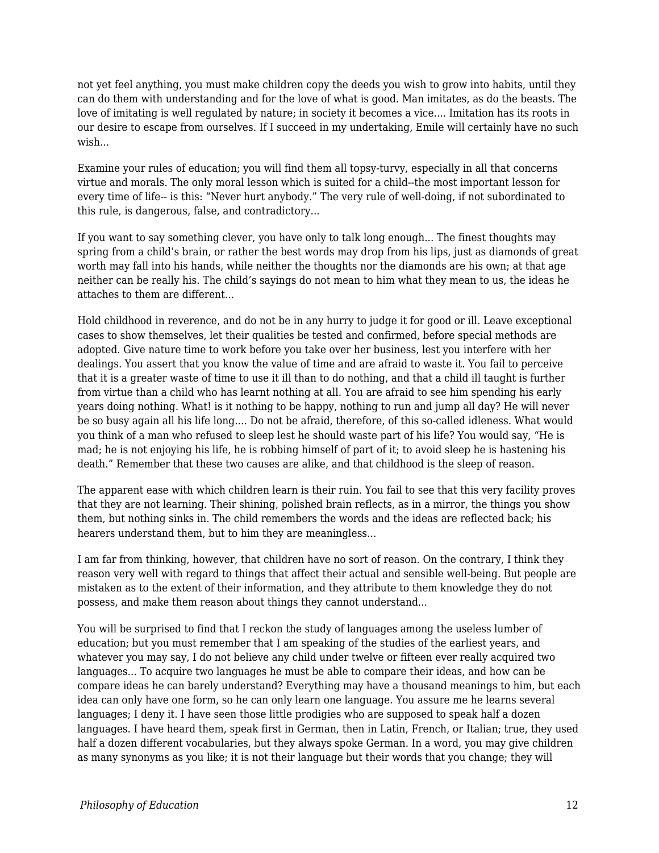not yet feel anything, you must make children copy the deeds you wish to grow into habits, until they can do them with understanding and for the love of what is good. Man imitates, as do the beasts. The love of imitating is well regulated by nature; in society it becomes a vice.... Imitation has its roots in our desire to escape from ourselves. If I succeed in my undertaking, Emile will certainly have no such wish...

Examine your rules of education; you will find them all topsy-turvy, especially in all that concerns virtue and morals. The only moral lesson which is suited for a child--the most important lesson for every time of life-- is this: "Never hurt anybody." The very rule of well-doing, if not subordinated to this rule, is dangerous, false, and contradictory...

If you want to say something clever, you have only to talk long enough... The finest thoughts may spring from a child's brain, or rather the best words may drop from his lips, just as diamonds of great worth may fall into his hands, while neither the thoughts nor the diamonds are his own; at that age neither can be really his. The child's sayings do not mean to him what they mean to us, the ideas he attaches to them are different...

Hold childhood in reverence, and do not be in any hurry to judge it for good or ill. Leave exceptional cases to show themselves, let their qualities be tested and confirmed, before special methods are adopted. Give nature time to work before you take over her business, lest you interfere with her dealings. You assert that you know the value of time and are afraid to waste it. You fail to perceive that it is a greater waste of time to use it ill than to do nothing, and that a child ill taught is further from virtue than a child who has learnt nothing at all. You are afraid to see him spending his early years doing nothing. What! is it nothing to be happy, nothing to run and jump all day? He will never be so busy again all his life long.... Do not be afraid, therefore, of this so-called idleness. What would you think of a man who refused to sleep lest he should waste part of his life? You would say, "He is mad; he is not enjoying his life, he is robbing himself of part of it; to avoid sleep he is hastening his death." Remember that these two causes are alike, and that childhood is the sleep of reason.

The apparent ease with which children learn is their ruin. You fail to see that this very facility proves that they are not learning. Their shining, polished brain reflects, as in a mirror, the things you show them, but nothing sinks in. The child remembers the words and the ideas are reflected back; his hearers understand them, but to him they are meaningless...

I am far from thinking, however, that children have no sort of reason. On the contrary, I think they reason very well with regard to things that affect their actual and sensible well-being. But people are mistaken as to the extent of their information, and they attribute to them knowledge they do not possess, and make them reason about things they cannot understand...

You will be surprised to find that I reckon the study of languages among the useless lumber of education; but you must remember that I am speaking of the studies of the earliest years, and whatever you may say, I do not believe any child under twelve or fifteen ever really acquired two languages... To acquire two languages he must be able to compare their ideas, and how can be compare ideas he can barely understand? Everything may have a thousand meanings to him, but each idea can only have one form, so he can only learn one language. You assure me he learns several languages; I deny it. I have seen those little prodigies who are supposed to speak half a dozen languages. I have heard them, speak first in German, then in Latin, French, or Italian; true, they used half a dozen different vocabularies, but they always spoke German. In a word, you may give children as many synonyms as you like; it is not their language but their words that you change; they will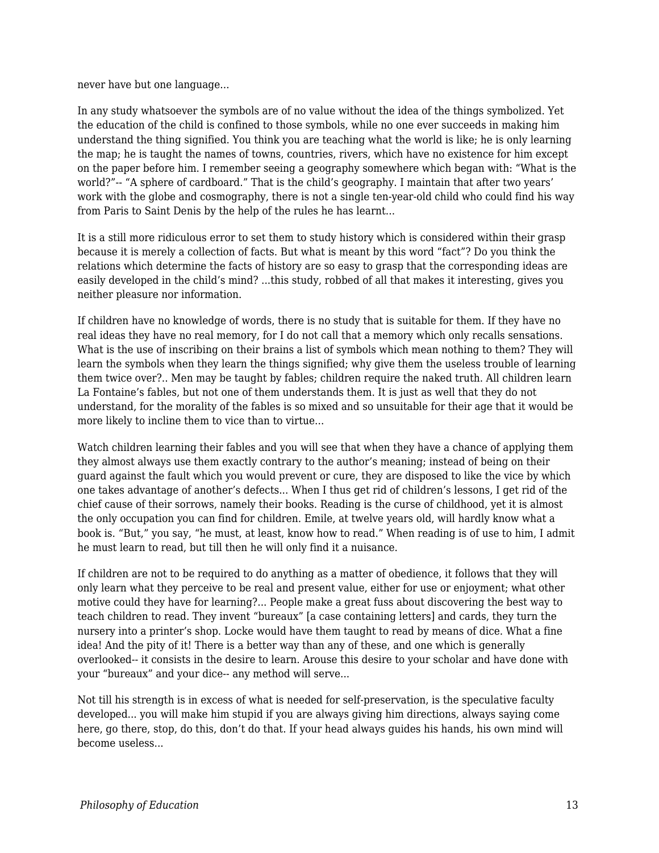never have but one language...

In any study whatsoever the symbols are of no value without the idea of the things symbolized. Yet the education of the child is confined to those symbols, while no one ever succeeds in making him understand the thing signified. You think you are teaching what the world is like; he is only learning the map; he is taught the names of towns, countries, rivers, which have no existence for him except on the paper before him. I remember seeing a geography somewhere which began with: "What is the world?"-- "A sphere of cardboard." That is the child's geography. I maintain that after two years' work with the globe and cosmography, there is not a single ten-year-old child who could find his way from Paris to Saint Denis by the help of the rules he has learnt...

It is a still more ridiculous error to set them to study history which is considered within their grasp because it is merely a collection of facts. But what is meant by this word "fact"? Do you think the relations which determine the facts of history are so easy to grasp that the corresponding ideas are easily developed in the child's mind? ...this study, robbed of all that makes it interesting, gives you neither pleasure nor information.

If children have no knowledge of words, there is no study that is suitable for them. If they have no real ideas they have no real memory, for I do not call that a memory which only recalls sensations. What is the use of inscribing on their brains a list of symbols which mean nothing to them? They will learn the symbols when they learn the things signified; why give them the useless trouble of learning them twice over?.. Men may be taught by fables; children require the naked truth. All children learn La Fontaine's fables, but not one of them understands them. It is just as well that they do not understand, for the morality of the fables is so mixed and so unsuitable for their age that it would be more likely to incline them to vice than to virtue...

Watch children learning their fables and you will see that when they have a chance of applying them they almost always use them exactly contrary to the author's meaning; instead of being on their guard against the fault which you would prevent or cure, they are disposed to like the vice by which one takes advantage of another's defects... When I thus get rid of children's lessons, I get rid of the chief cause of their sorrows, namely their books. Reading is the curse of childhood, yet it is almost the only occupation you can find for children. Emile, at twelve years old, will hardly know what a book is. "But," you say, "he must, at least, know how to read." When reading is of use to him, I admit he must learn to read, but till then he will only find it a nuisance.

If children are not to be required to do anything as a matter of obedience, it follows that they will only learn what they perceive to be real and present value, either for use or enjoyment; what other motive could they have for learning?... People make a great fuss about discovering the best way to teach children to read. They invent "bureaux" [a case containing letters] and cards, they turn the nursery into a printer's shop. Locke would have them taught to read by means of dice. What a fine idea! And the pity of it! There is a better way than any of these, and one which is generally overlooked-- it consists in the desire to learn. Arouse this desire to your scholar and have done with your "bureaux" and your dice-- any method will serve...

Not till his strength is in excess of what is needed for self-preservation, is the speculative faculty developed... you will make him stupid if you are always giving him directions, always saying come here, go there, stop, do this, don't do that. If your head always guides his hands, his own mind will become useless...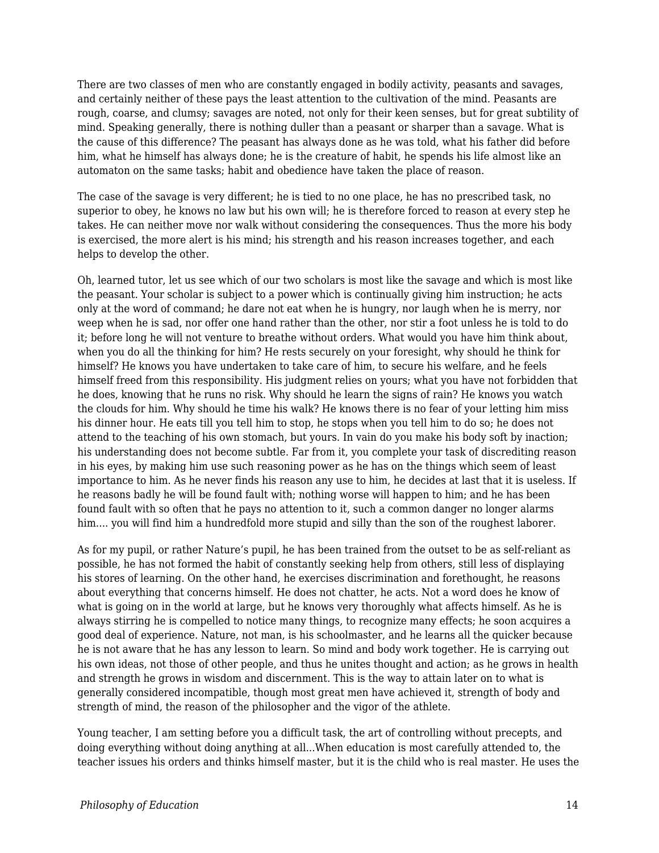There are two classes of men who are constantly engaged in bodily activity, peasants and savages, and certainly neither of these pays the least attention to the cultivation of the mind. Peasants are rough, coarse, and clumsy; savages are noted, not only for their keen senses, but for great subtility of mind. Speaking generally, there is nothing duller than a peasant or sharper than a savage. What is the cause of this difference? The peasant has always done as he was told, what his father did before him, what he himself has always done; he is the creature of habit, he spends his life almost like an automaton on the same tasks; habit and obedience have taken the place of reason.

The case of the savage is very different; he is tied to no one place, he has no prescribed task, no superior to obey, he knows no law but his own will; he is therefore forced to reason at every step he takes. He can neither move nor walk without considering the consequences. Thus the more his body is exercised, the more alert is his mind; his strength and his reason increases together, and each helps to develop the other.

Oh, learned tutor, let us see which of our two scholars is most like the savage and which is most like the peasant. Your scholar is subject to a power which is continually giving him instruction; he acts only at the word of command; he dare not eat when he is hungry, nor laugh when he is merry, nor weep when he is sad, nor offer one hand rather than the other, nor stir a foot unless he is told to do it; before long he will not venture to breathe without orders. What would you have him think about, when you do all the thinking for him? He rests securely on your foresight, why should he think for himself? He knows you have undertaken to take care of him, to secure his welfare, and he feels himself freed from this responsibility. His judgment relies on yours; what you have not forbidden that he does, knowing that he runs no risk. Why should he learn the signs of rain? He knows you watch the clouds for him. Why should he time his walk? He knows there is no fear of your letting him miss his dinner hour. He eats till you tell him to stop, he stops when you tell him to do so; he does not attend to the teaching of his own stomach, but yours. In vain do you make his body soft by inaction; his understanding does not become subtle. Far from it, you complete your task of discrediting reason in his eyes, by making him use such reasoning power as he has on the things which seem of least importance to him. As he never finds his reason any use to him, he decides at last that it is useless. If he reasons badly he will be found fault with; nothing worse will happen to him; and he has been found fault with so often that he pays no attention to it, such a common danger no longer alarms him.... you will find him a hundredfold more stupid and silly than the son of the roughest laborer.

As for my pupil, or rather Nature's pupil, he has been trained from the outset to be as self-reliant as possible, he has not formed the habit of constantly seeking help from others, still less of displaying his stores of learning. On the other hand, he exercises discrimination and forethought, he reasons about everything that concerns himself. He does not chatter, he acts. Not a word does he know of what is going on in the world at large, but he knows very thoroughly what affects himself. As he is always stirring he is compelled to notice many things, to recognize many effects; he soon acquires a good deal of experience. Nature, not man, is his schoolmaster, and he learns all the quicker because he is not aware that he has any lesson to learn. So mind and body work together. He is carrying out his own ideas, not those of other people, and thus he unites thought and action; as he grows in health and strength he grows in wisdom and discernment. This is the way to attain later on to what is generally considered incompatible, though most great men have achieved it, strength of body and strength of mind, the reason of the philosopher and the vigor of the athlete.

Young teacher, I am setting before you a difficult task, the art of controlling without precepts, and doing everything without doing anything at all...When education is most carefully attended to, the teacher issues his orders and thinks himself master, but it is the child who is real master. He uses the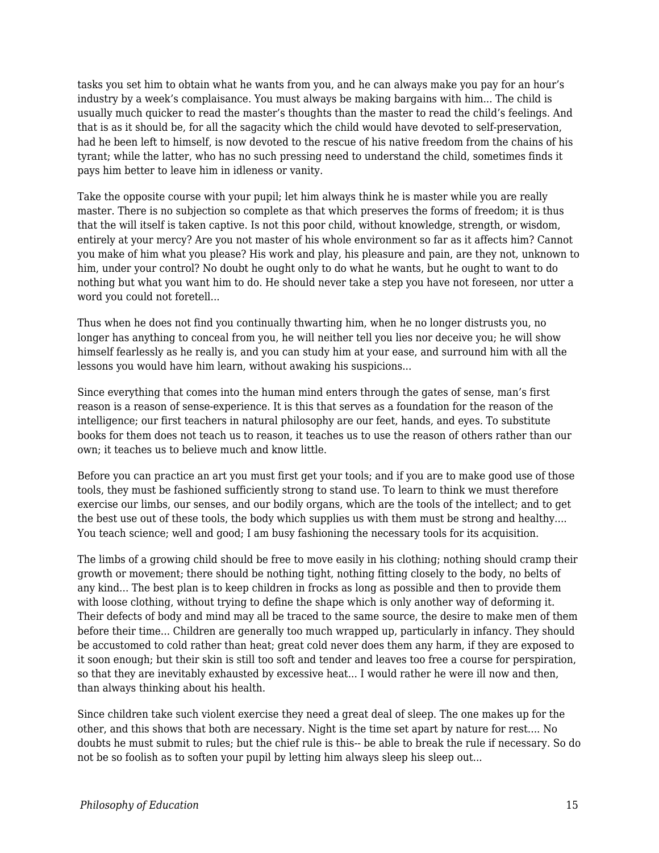tasks you set him to obtain what he wants from you, and he can always make you pay for an hour's industry by a week's complaisance. You must always be making bargains with him... The child is usually much quicker to read the master's thoughts than the master to read the child's feelings. And that is as it should be, for all the sagacity which the child would have devoted to self-preservation, had he been left to himself, is now devoted to the rescue of his native freedom from the chains of his tyrant; while the latter, who has no such pressing need to understand the child, sometimes finds it pays him better to leave him in idleness or vanity.

Take the opposite course with your pupil; let him always think he is master while you are really master. There is no subjection so complete as that which preserves the forms of freedom; it is thus that the will itself is taken captive. Is not this poor child, without knowledge, strength, or wisdom, entirely at your mercy? Are you not master of his whole environment so far as it affects him? Cannot you make of him what you please? His work and play, his pleasure and pain, are they not, unknown to him, under your control? No doubt he ought only to do what he wants, but he ought to want to do nothing but what you want him to do. He should never take a step you have not foreseen, nor utter a word you could not foretell...

Thus when he does not find you continually thwarting him, when he no longer distrusts you, no longer has anything to conceal from you, he will neither tell you lies nor deceive you; he will show himself fearlessly as he really is, and you can study him at your ease, and surround him with all the lessons you would have him learn, without awaking his suspicions...

Since everything that comes into the human mind enters through the gates of sense, man's first reason is a reason of sense-experience. It is this that serves as a foundation for the reason of the intelligence; our first teachers in natural philosophy are our feet, hands, and eyes. To substitute books for them does not teach us to reason, it teaches us to use the reason of others rather than our own; it teaches us to believe much and know little.

Before you can practice an art you must first get your tools; and if you are to make good use of those tools, they must be fashioned sufficiently strong to stand use. To learn to think we must therefore exercise our limbs, our senses, and our bodily organs, which are the tools of the intellect; and to get the best use out of these tools, the body which supplies us with them must be strong and healthy.... You teach science; well and good; I am busy fashioning the necessary tools for its acquisition.

The limbs of a growing child should be free to move easily in his clothing; nothing should cramp their growth or movement; there should be nothing tight, nothing fitting closely to the body, no belts of any kind... The best plan is to keep children in frocks as long as possible and then to provide them with loose clothing, without trying to define the shape which is only another way of deforming it. Their defects of body and mind may all be traced to the same source, the desire to make men of them before their time... Children are generally too much wrapped up, particularly in infancy. They should be accustomed to cold rather than heat; great cold never does them any harm, if they are exposed to it soon enough; but their skin is still too soft and tender and leaves too free a course for perspiration, so that they are inevitably exhausted by excessive heat... I would rather he were ill now and then, than always thinking about his health.

Since children take such violent exercise they need a great deal of sleep. The one makes up for the other, and this shows that both are necessary. Night is the time set apart by nature for rest.... No doubts he must submit to rules; but the chief rule is this-- be able to break the rule if necessary. So do not be so foolish as to soften your pupil by letting him always sleep his sleep out...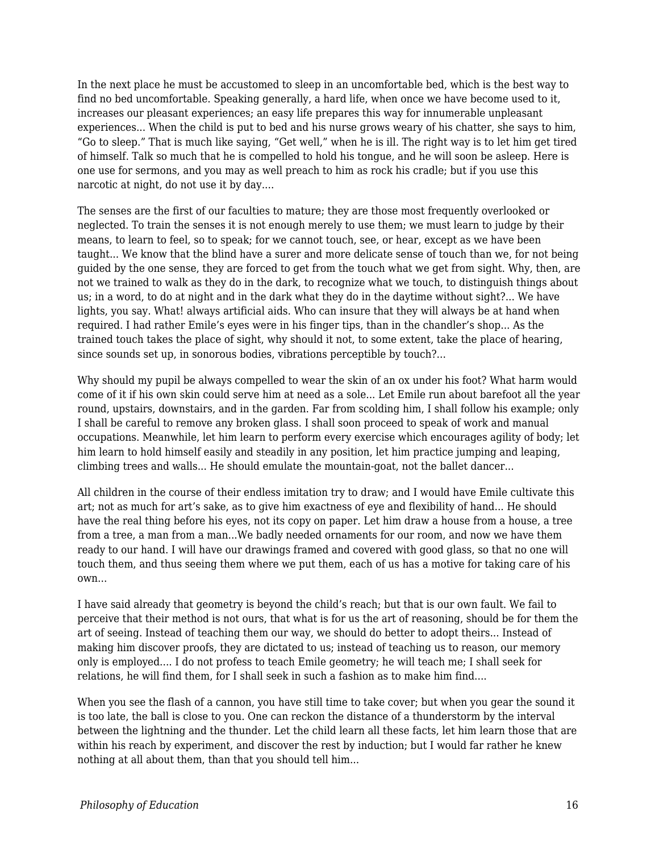In the next place he must be accustomed to sleep in an uncomfortable bed, which is the best way to find no bed uncomfortable. Speaking generally, a hard life, when once we have become used to it, increases our pleasant experiences; an easy life prepares this way for innumerable unpleasant experiences... When the child is put to bed and his nurse grows weary of his chatter, she says to him, "Go to sleep." That is much like saying, "Get well," when he is ill. The right way is to let him get tired of himself. Talk so much that he is compelled to hold his tongue, and he will soon be asleep. Here is one use for sermons, and you may as well preach to him as rock his cradle; but if you use this narcotic at night, do not use it by day....

The senses are the first of our faculties to mature; they are those most frequently overlooked or neglected. To train the senses it is not enough merely to use them; we must learn to judge by their means, to learn to feel, so to speak; for we cannot touch, see, or hear, except as we have been taught... We know that the blind have a surer and more delicate sense of touch than we, for not being guided by the one sense, they are forced to get from the touch what we get from sight. Why, then, are not we trained to walk as they do in the dark, to recognize what we touch, to distinguish things about us; in a word, to do at night and in the dark what they do in the daytime without sight?... We have lights, you say. What! always artificial aids. Who can insure that they will always be at hand when required. I had rather Emile's eyes were in his finger tips, than in the chandler's shop... As the trained touch takes the place of sight, why should it not, to some extent, take the place of hearing, since sounds set up, in sonorous bodies, vibrations perceptible by touch?...

Why should my pupil be always compelled to wear the skin of an ox under his foot? What harm would come of it if his own skin could serve him at need as a sole... Let Emile run about barefoot all the year round, upstairs, downstairs, and in the garden. Far from scolding him, I shall follow his example; only I shall be careful to remove any broken glass. I shall soon proceed to speak of work and manual occupations. Meanwhile, let him learn to perform every exercise which encourages agility of body; let him learn to hold himself easily and steadily in any position, let him practice jumping and leaping, climbing trees and walls... He should emulate the mountain-goat, not the ballet dancer...

All children in the course of their endless imitation try to draw; and I would have Emile cultivate this art; not as much for art's sake, as to give him exactness of eye and flexibility of hand... He should have the real thing before his eyes, not its copy on paper. Let him draw a house from a house, a tree from a tree, a man from a man...We badly needed ornaments for our room, and now we have them ready to our hand. I will have our drawings framed and covered with good glass, so that no one will touch them, and thus seeing them where we put them, each of us has a motive for taking care of his own...

I have said already that geometry is beyond the child's reach; but that is our own fault. We fail to perceive that their method is not ours, that what is for us the art of reasoning, should be for them the art of seeing. Instead of teaching them our way, we should do better to adopt theirs... Instead of making him discover proofs, they are dictated to us; instead of teaching us to reason, our memory only is employed.... I do not profess to teach Emile geometry; he will teach me; I shall seek for relations, he will find them, for I shall seek in such a fashion as to make him find....

When you see the flash of a cannon, you have still time to take cover; but when you gear the sound it is too late, the ball is close to you. One can reckon the distance of a thunderstorm by the interval between the lightning and the thunder. Let the child learn all these facts, let him learn those that are within his reach by experiment, and discover the rest by induction; but I would far rather he knew nothing at all about them, than that you should tell him...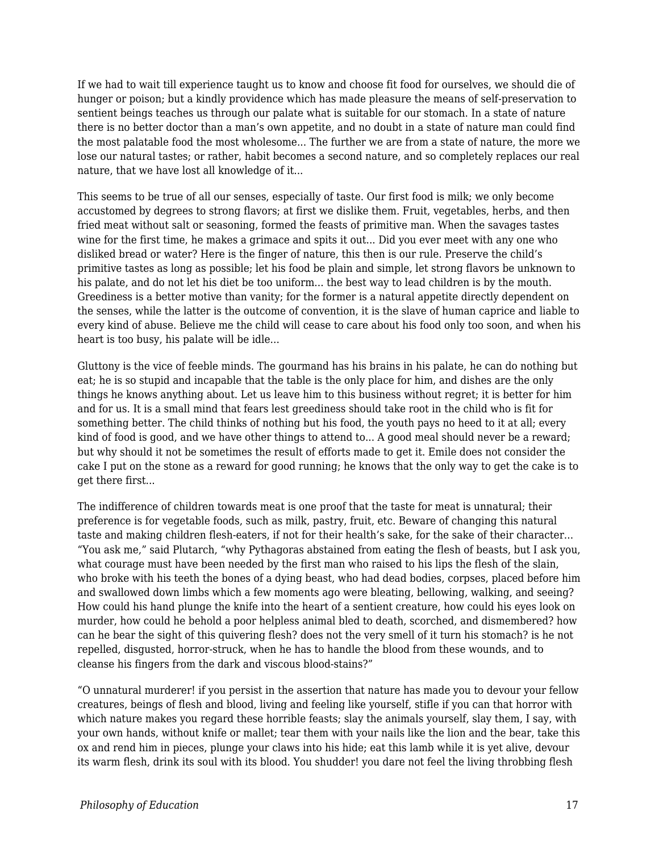If we had to wait till experience taught us to know and choose fit food for ourselves, we should die of hunger or poison; but a kindly providence which has made pleasure the means of self-preservation to sentient beings teaches us through our palate what is suitable for our stomach. In a state of nature there is no better doctor than a man's own appetite, and no doubt in a state of nature man could find the most palatable food the most wholesome... The further we are from a state of nature, the more we lose our natural tastes; or rather, habit becomes a second nature, and so completely replaces our real nature, that we have lost all knowledge of it...

This seems to be true of all our senses, especially of taste. Our first food is milk; we only become accustomed by degrees to strong flavors; at first we dislike them. Fruit, vegetables, herbs, and then fried meat without salt or seasoning, formed the feasts of primitive man. When the savages tastes wine for the first time, he makes a grimace and spits it out... Did you ever meet with any one who disliked bread or water? Here is the finger of nature, this then is our rule. Preserve the child's primitive tastes as long as possible; let his food be plain and simple, let strong flavors be unknown to his palate, and do not let his diet be too uniform... the best way to lead children is by the mouth. Greediness is a better motive than vanity; for the former is a natural appetite directly dependent on the senses, while the latter is the outcome of convention, it is the slave of human caprice and liable to every kind of abuse. Believe me the child will cease to care about his food only too soon, and when his heart is too busy, his palate will be idle...

Gluttony is the vice of feeble minds. The gourmand has his brains in his palate, he can do nothing but eat; he is so stupid and incapable that the table is the only place for him, and dishes are the only things he knows anything about. Let us leave him to this business without regret; it is better for him and for us. It is a small mind that fears lest greediness should take root in the child who is fit for something better. The child thinks of nothing but his food, the youth pays no heed to it at all; every kind of food is good, and we have other things to attend to... A good meal should never be a reward; but why should it not be sometimes the result of efforts made to get it. Emile does not consider the cake I put on the stone as a reward for good running; he knows that the only way to get the cake is to get there first...

The indifference of children towards meat is one proof that the taste for meat is unnatural; their preference is for vegetable foods, such as milk, pastry, fruit, etc. Beware of changing this natural taste and making children flesh-eaters, if not for their health's sake, for the sake of their character... "You ask me," said Plutarch, "why Pythagoras abstained from eating the flesh of beasts, but I ask you, what courage must have been needed by the first man who raised to his lips the flesh of the slain, who broke with his teeth the bones of a dying beast, who had dead bodies, corpses, placed before him and swallowed down limbs which a few moments ago were bleating, bellowing, walking, and seeing? How could his hand plunge the knife into the heart of a sentient creature, how could his eyes look on murder, how could he behold a poor helpless animal bled to death, scorched, and dismembered? how can he bear the sight of this quivering flesh? does not the very smell of it turn his stomach? is he not repelled, disgusted, horror-struck, when he has to handle the blood from these wounds, and to cleanse his fingers from the dark and viscous blood-stains?"

"O unnatural murderer! if you persist in the assertion that nature has made you to devour your fellow creatures, beings of flesh and blood, living and feeling like yourself, stifle if you can that horror with which nature makes you regard these horrible feasts; slay the animals yourself, slay them, I say, with your own hands, without knife or mallet; tear them with your nails like the lion and the bear, take this ox and rend him in pieces, plunge your claws into his hide; eat this lamb while it is yet alive, devour its warm flesh, drink its soul with its blood. You shudder! you dare not feel the living throbbing flesh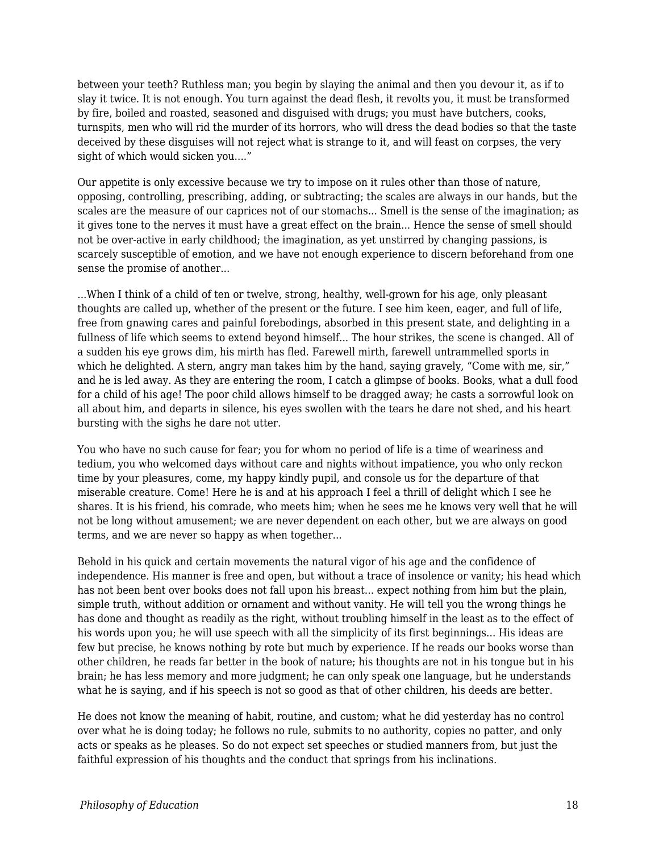between your teeth? Ruthless man; you begin by slaying the animal and then you devour it, as if to slay it twice. It is not enough. You turn against the dead flesh, it revolts you, it must be transformed by fire, boiled and roasted, seasoned and disguised with drugs; you must have butchers, cooks, turnspits, men who will rid the murder of its horrors, who will dress the dead bodies so that the taste deceived by these disguises will not reject what is strange to it, and will feast on corpses, the very sight of which would sicken you...."

Our appetite is only excessive because we try to impose on it rules other than those of nature, opposing, controlling, prescribing, adding, or subtracting; the scales are always in our hands, but the scales are the measure of our caprices not of our stomachs... Smell is the sense of the imagination; as it gives tone to the nerves it must have a great effect on the brain... Hence the sense of smell should not be over-active in early childhood; the imagination, as yet unstirred by changing passions, is scarcely susceptible of emotion, and we have not enough experience to discern beforehand from one sense the promise of another...

...When I think of a child of ten or twelve, strong, healthy, well-grown for his age, only pleasant thoughts are called up, whether of the present or the future. I see him keen, eager, and full of life, free from gnawing cares and painful forebodings, absorbed in this present state, and delighting in a fullness of life which seems to extend beyond himself... The hour strikes, the scene is changed. All of a sudden his eye grows dim, his mirth has fled. Farewell mirth, farewell untrammelled sports in which he delighted. A stern, angry man takes him by the hand, saying gravely, "Come with me, sir," and he is led away. As they are entering the room, I catch a glimpse of books. Books, what a dull food for a child of his age! The poor child allows himself to be dragged away; he casts a sorrowful look on all about him, and departs in silence, his eyes swollen with the tears he dare not shed, and his heart bursting with the sighs he dare not utter.

You who have no such cause for fear; you for whom no period of life is a time of weariness and tedium, you who welcomed days without care and nights without impatience, you who only reckon time by your pleasures, come, my happy kindly pupil, and console us for the departure of that miserable creature. Come! Here he is and at his approach I feel a thrill of delight which I see he shares. It is his friend, his comrade, who meets him; when he sees me he knows very well that he will not be long without amusement; we are never dependent on each other, but we are always on good terms, and we are never so happy as when together...

Behold in his quick and certain movements the natural vigor of his age and the confidence of independence. His manner is free and open, but without a trace of insolence or vanity; his head which has not been bent over books does not fall upon his breast... expect nothing from him but the plain, simple truth, without addition or ornament and without vanity. He will tell you the wrong things he has done and thought as readily as the right, without troubling himself in the least as to the effect of his words upon you; he will use speech with all the simplicity of its first beginnings... His ideas are few but precise, he knows nothing by rote but much by experience. If he reads our books worse than other children, he reads far better in the book of nature; his thoughts are not in his tongue but in his brain; he has less memory and more judgment; he can only speak one language, but he understands what he is saying, and if his speech is not so good as that of other children, his deeds are better.

He does not know the meaning of habit, routine, and custom; what he did yesterday has no control over what he is doing today; he follows no rule, submits to no authority, copies no patter, and only acts or speaks as he pleases. So do not expect set speeches or studied manners from, but just the faithful expression of his thoughts and the conduct that springs from his inclinations.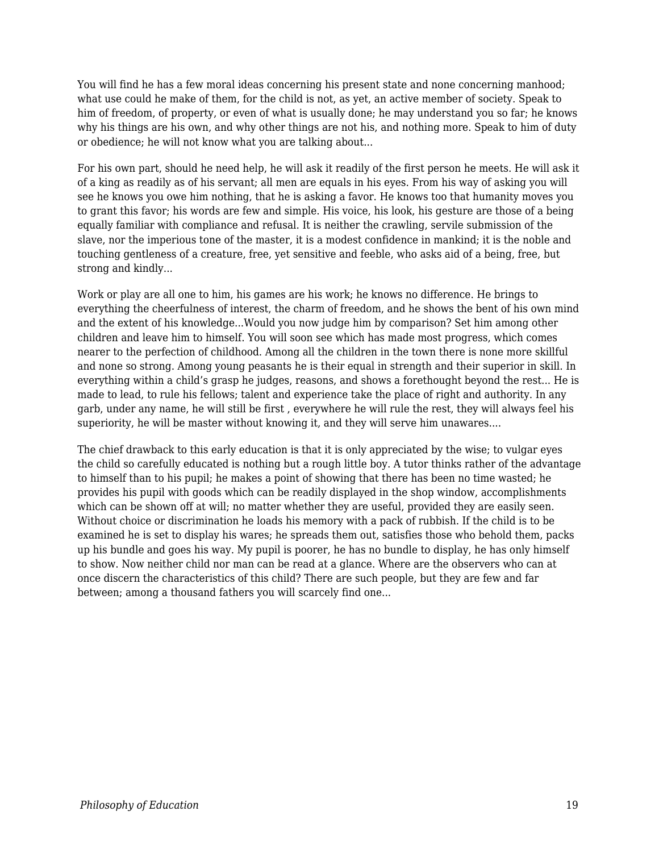You will find he has a few moral ideas concerning his present state and none concerning manhood; what use could he make of them, for the child is not, as yet, an active member of society. Speak to him of freedom, of property, or even of what is usually done; he may understand you so far; he knows why his things are his own, and why other things are not his, and nothing more. Speak to him of duty or obedience; he will not know what you are talking about...

For his own part, should he need help, he will ask it readily of the first person he meets. He will ask it of a king as readily as of his servant; all men are equals in his eyes. From his way of asking you will see he knows you owe him nothing, that he is asking a favor. He knows too that humanity moves you to grant this favor; his words are few and simple. His voice, his look, his gesture are those of a being equally familiar with compliance and refusal. It is neither the crawling, servile submission of the slave, nor the imperious tone of the master, it is a modest confidence in mankind; it is the noble and touching gentleness of a creature, free, yet sensitive and feeble, who asks aid of a being, free, but strong and kindly...

Work or play are all one to him, his games are his work; he knows no difference. He brings to everything the cheerfulness of interest, the charm of freedom, and he shows the bent of his own mind and the extent of his knowledge...Would you now judge him by comparison? Set him among other children and leave him to himself. You will soon see which has made most progress, which comes nearer to the perfection of childhood. Among all the children in the town there is none more skillful and none so strong. Among young peasants he is their equal in strength and their superior in skill. In everything within a child's grasp he judges, reasons, and shows a forethought beyond the rest... He is made to lead, to rule his fellows; talent and experience take the place of right and authority. In any garb, under any name, he will still be first , everywhere he will rule the rest, they will always feel his superiority, he will be master without knowing it, and they will serve him unawares....

The chief drawback to this early education is that it is only appreciated by the wise; to vulgar eyes the child so carefully educated is nothing but a rough little boy. A tutor thinks rather of the advantage to himself than to his pupil; he makes a point of showing that there has been no time wasted; he provides his pupil with goods which can be readily displayed in the shop window, accomplishments which can be shown off at will; no matter whether they are useful, provided they are easily seen. Without choice or discrimination he loads his memory with a pack of rubbish. If the child is to be examined he is set to display his wares; he spreads them out, satisfies those who behold them, packs up his bundle and goes his way. My pupil is poorer, he has no bundle to display, he has only himself to show. Now neither child nor man can be read at a glance. Where are the observers who can at once discern the characteristics of this child? There are such people, but they are few and far between; among a thousand fathers you will scarcely find one...